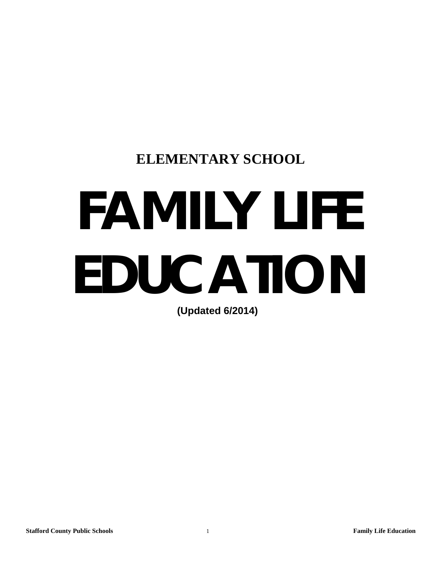# **ELEMENTARY SCHOOL**

# **FAMILY LIFE EDUCATION**

**(Updated 6/2014)**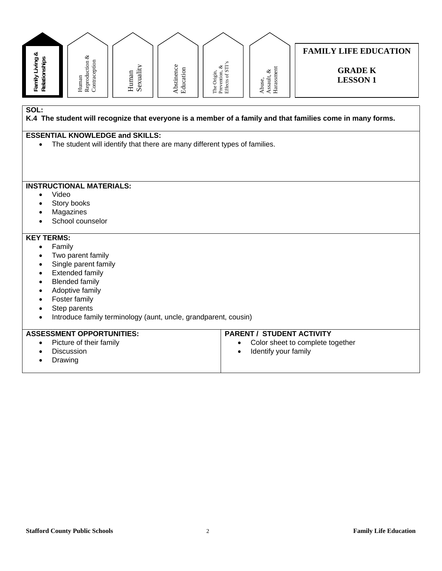| Family Living &<br>Relationships                                                                                   | ${\bf Reproduction\,\,} \&\\ {\bf Contraception}$<br>Human                                                           | Sexuality<br>Human | Abstinence<br>Education | The Origin,<br>Prevention, &<br>Effects of STI's | ${\bf Assault}, {\boldsymbol \&} \\ {\bf Harassment}$<br>Abuse, | <b>FAMILY LIFE EDUCATION</b><br><b>GRADE K</b><br><b>LESSON1</b> |  |
|--------------------------------------------------------------------------------------------------------------------|----------------------------------------------------------------------------------------------------------------------|--------------------|-------------------------|--------------------------------------------------|-----------------------------------------------------------------|------------------------------------------------------------------|--|
| SOL:<br>K.4 The student will recognize that everyone is a member of a family and that families come in many forms. |                                                                                                                      |                    |                         |                                                  |                                                                 |                                                                  |  |
| $\bullet$                                                                                                          | <b>ESSENTIAL KNOWLEDGE and SKILLS:</b><br>The student will identify that there are many different types of families. |                    |                         |                                                  |                                                                 |                                                                  |  |
|                                                                                                                    |                                                                                                                      |                    |                         |                                                  |                                                                 |                                                                  |  |
|                                                                                                                    | <b>INSTRUCTIONAL MATERIALS:</b>                                                                                      |                    |                         |                                                  |                                                                 |                                                                  |  |
|                                                                                                                    | Video                                                                                                                |                    |                         |                                                  |                                                                 |                                                                  |  |
|                                                                                                                    | Story books<br>Magazines                                                                                             |                    |                         |                                                  |                                                                 |                                                                  |  |
|                                                                                                                    | School counselor                                                                                                     |                    |                         |                                                  |                                                                 |                                                                  |  |
| <b>KEY TERMS:</b>                                                                                                  |                                                                                                                      |                    |                         |                                                  |                                                                 |                                                                  |  |
| $\bullet$                                                                                                          | Family                                                                                                               |                    |                         |                                                  |                                                                 |                                                                  |  |
| $\bullet$                                                                                                          | Two parent family                                                                                                    |                    |                         |                                                  |                                                                 |                                                                  |  |
| $\bullet$                                                                                                          | Single parent family                                                                                                 |                    |                         |                                                  |                                                                 |                                                                  |  |
| <b>Extended family</b><br>$\bullet$                                                                                |                                                                                                                      |                    |                         |                                                  |                                                                 |                                                                  |  |
| <b>Blended family</b>                                                                                              |                                                                                                                      |                    |                         |                                                  |                                                                 |                                                                  |  |
| Adoptive family<br>Foster family                                                                                   |                                                                                                                      |                    |                         |                                                  |                                                                 |                                                                  |  |
| Step parents                                                                                                       |                                                                                                                      |                    |                         |                                                  |                                                                 |                                                                  |  |
| Introduce family terminology (aunt, uncle, grandparent, cousin)<br>$\bullet$                                       |                                                                                                                      |                    |                         |                                                  |                                                                 |                                                                  |  |
|                                                                                                                    | <b>ASSESSMENT OPPORTUNITIES:</b>                                                                                     |                    |                         |                                                  | <b>PARENT / STUDENT ACTIVITY</b>                                |                                                                  |  |
| $\bullet$                                                                                                          | Picture of their family                                                                                              |                    |                         | $\bullet$                                        |                                                                 | Color sheet to complete together                                 |  |
|                                                                                                                    | Discussion                                                                                                           |                    |                         | $\bullet$                                        | Identify your family                                            |                                                                  |  |
|                                                                                                                    | Drawing                                                                                                              |                    |                         |                                                  |                                                                 |                                                                  |  |
|                                                                                                                    |                                                                                                                      |                    |                         |                                                  |                                                                 |                                                                  |  |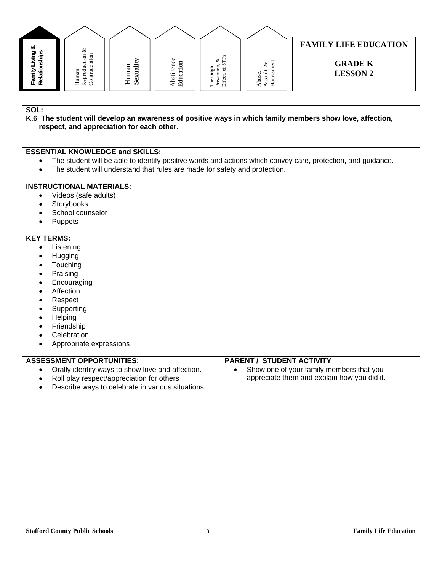

#### **K.6 The student will develop an awareness of positive ways in which family members show love, affection, respect, and appreciation for each other.**

#### **ESSENTIAL KNOWLEDGE and SKILLS:**

- The student will be able to identify positive words and actions which convey care, protection, and guidance.
- The student will understand that rules are made for safety and protection.

#### **INSTRUCTIONAL MATERIALS:**

- Videos (safe adults)
- Storybooks
- School counselor
- Puppets

#### **KEY TERMS:**

- Listening
- Hugging
- Touching
- Praising
- Encouraging
- Affection
- Respect
- Supporting
- **Helping**
- Friendship
- **Celebration**
- Appropriate expressions

#### **ASSESSMENT OPPORTUNITIES:**  Orally identify ways to show love and affection. Roll play respect/appreciation for others Describe ways to celebrate in various situations. **PARENT / STUDENT ACTIVITY**  • Show one of your family members that you appreciate them and explain how you did it.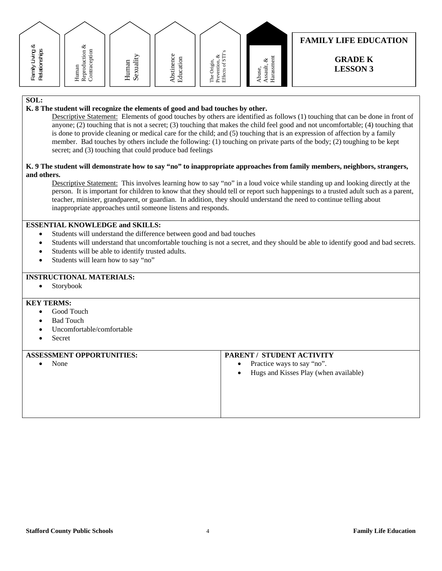

#### **K. 8 The student will recognize the elements of good and bad touches by other.**

Descriptive Statement: Elements of good touches by others are identified as follows (1) touching that can be done in front of anyone; (2) touching that is not a secret; (3) touching that makes the child feel good and not uncomfortable; (4) touching that is done to provide cleaning or medical care for the child; and (5) touching that is an expression of affection by a family member. Bad touches by others include the following: (1) touching on private parts of the body; (2) toughing to be kept secret; and (3) touching that could produce bad feelings

#### **K. 9 The student will demonstrate how to say "no" to inappropriate approaches from family members, neighbors, strangers, and others.**

Descriptive Statement: This involves learning how to say "no" in a loud voice while standing up and looking directly at the person. It is important for children to know that they should tell or report such happenings to a trusted adult such as a parent, teacher, minister, grandparent, or guardian. In addition, they should understand the need to continue telling about inappropriate approaches until someone listens and responds.

#### **ESSENTIAL KNOWLEDGE and SKILLS:**

- Students will understand the difference between good and bad touches
- Students will understand that uncomfortable touching is not a secret, and they should be able to identify good and bad secrets.
- Students will be able to identify trusted adults.
- Students will learn how to say "no"

#### **INSTRUCTIONAL MATERIALS:**

Storybook

#### **KEY TERMS:**

- Good Touch
- Bad Touch
- Uncomfortable/comfortable
- Secret

#### **ASSESSMENT OPPORTUNITIES:**

None

#### **PARENT / STUDENT ACTIVITY**

- Practice ways to say "no".
- Hugs and Kisses Play (when available)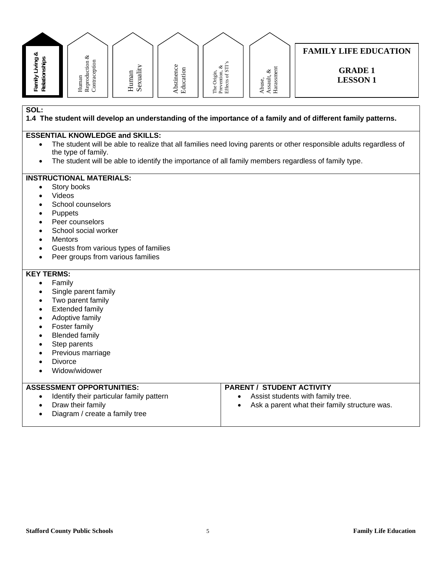

**1.4 The student will develop an understanding of the importance of a family and of different family patterns.** 

#### **ESSENTIAL KNOWLEDGE and SKILLS:**

- The student will be able to realize that all families need loving parents or other responsible adults regardless of the type of family.
- The student will be able to identify the importance of all family members regardless of family type.

#### **INSTRUCTIONAL MATERIALS:**

- Story books
- Videos
- School counselors
- Puppets
- Peer counselors
- School social worker
- **Mentors**
- Guests from various types of families
- Peer groups from various families

#### **KEY TERMS:**

- Family
- Single parent family
- Two parent family
- Extended family
- Adoptive family
- Foster family
- Blended family
- Step parents
- Previous marriage
- **Divorce**
- Widow/widower

#### **ASSESSMENT OPPORTUNITIES:**  • Identify their particular family pattern Draw their family • Diagram / create a family tree **PARENT / STUDENT ACTIVITY**  Assist students with family tree. Ask a parent what their family structure was.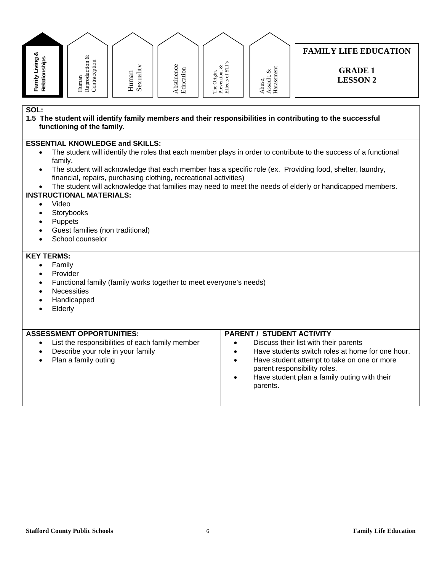| Family Living &<br>Relationships                                                                                                                                                                                                                                                                                                                                                                                                                                                                                                                                                                                                                                 | Human<br>Reproduction &<br>Contraception                                                                     | Sexuality<br>Human | Abstinence<br>Education | The Origin,<br>Prevention, &<br>Effects of STI's | $\begin{array}{c} \text{Assault, } \& \\ \text{Harasment} \end{array}$<br>Abuse, | <b>FAMILY LIFE EDUCATION</b><br><b>GRADE 1</b><br><b>LESSON 2</b>                                                                                                                                                        |  |
|------------------------------------------------------------------------------------------------------------------------------------------------------------------------------------------------------------------------------------------------------------------------------------------------------------------------------------------------------------------------------------------------------------------------------------------------------------------------------------------------------------------------------------------------------------------------------------------------------------------------------------------------------------------|--------------------------------------------------------------------------------------------------------------|--------------------|-------------------------|--------------------------------------------------|----------------------------------------------------------------------------------|--------------------------------------------------------------------------------------------------------------------------------------------------------------------------------------------------------------------------|--|
| SOL:<br>1.5 The student will identify family members and their responsibilities in contributing to the successful<br>functioning of the family.                                                                                                                                                                                                                                                                                                                                                                                                                                                                                                                  |                                                                                                              |                    |                         |                                                  |                                                                                  |                                                                                                                                                                                                                          |  |
| <b>ESSENTIAL KNOWLEDGE and SKILLS:</b><br>The student will identify the roles that each member plays in order to contribute to the success of a functional<br>$\bullet$<br>family.<br>The student will acknowledge that each member has a specific role (ex. Providing food, shelter, laundry,<br>$\bullet$<br>financial, repairs, purchasing clothing, recreational activities)<br>The student will acknowledge that families may need to meet the needs of elderly or handicapped members.<br><b>INSTRUCTIONAL MATERIALS:</b><br>Video<br>$\bullet$<br>Storybooks<br>$\bullet$<br>Puppets<br>$\bullet$<br>Guest families (non traditional)<br>School counselor |                                                                                                              |                    |                         |                                                  |                                                                                  |                                                                                                                                                                                                                          |  |
| <b>KEY TERMS:</b><br>Family<br>$\bullet$<br>Provider<br>Functional family (family works together to meet everyone's needs)<br>$\bullet$<br><b>Necessities</b><br>$\bullet$<br>Handicapped<br>Elderly<br><b>ASSESSMENT OPPORTUNITIES:</b><br><b>PARENT / STUDENT ACTIVITY</b>                                                                                                                                                                                                                                                                                                                                                                                     |                                                                                                              |                    |                         |                                                  |                                                                                  |                                                                                                                                                                                                                          |  |
| $\bullet$<br>$\bullet$<br>$\bullet$                                                                                                                                                                                                                                                                                                                                                                                                                                                                                                                                                                                                                              | List the responsibilities of each family member<br>Describe your role in your family<br>Plan a family outing |                    |                         | $\bullet$<br>$\bullet$<br>$\bullet$              | parents.                                                                         | Discuss their list with their parents<br>Have students switch roles at home for one hour.<br>Have student attempt to take on one or more<br>parent responsibility roles.<br>Have student plan a family outing with their |  |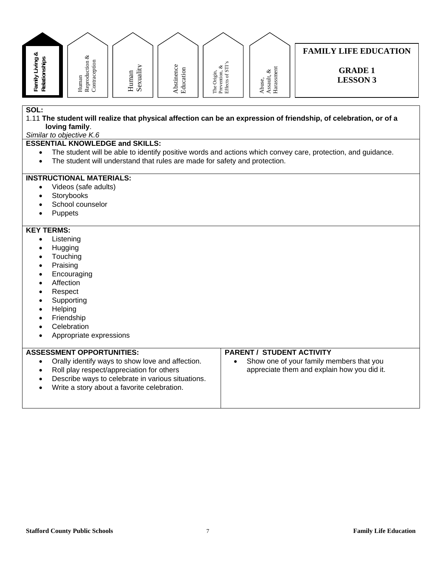#### **FAMILY LIFE EDUCATION**  Family Living &<br>Relationships Reproduction  $\&$  Contraception **Family Living &**  Reproduction & **Relationships Contraception** The Origin,<br>Prevention, &<br>Effects of STI's Effects of STI's Abstinence<br>Education Abstinence Prevention, & Abuse,<br>Assault, &<br>Harassment Human<br>Sexuality Education **GRADE 1**  HarassmentAssault, & The Origin, Human **LESSON 3**

#### **SOL:**

1.11 **The student will realize that physical affection can be an expression of friendship, of celebration, or of a loving family**.

*Similar to objective K.6* 

#### **ESSENTIAL KNOWLEDGE and SKILLS:**

- The student will be able to identify positive words and actions which convey care, protection, and guidance.
- The student will understand that rules are made for safety and protection.

#### **INSTRUCTIONAL MATERIALS:**

- Videos (safe adults)
- **Storybooks**
- School counselor
- Puppets

#### **KEY TERMS:**

- Listening
- **Hugging**
- Touching
- Praising
- **Encouraging**
- Affection
- Respect
- Supporting
- Helping
- Friendship
- **Celebration**
- Appropriate expressions

#### **ASSESSMENT OPPORTUNITIES:**

- Orally identify ways to show love and affection.
- Roll play respect/appreciation for others
- Describe ways to celebrate in various situations.
- Write a story about a favorite celebration.

## **PARENT / STUDENT ACTIVITY**

 Show one of your family members that you appreciate them and explain how you did it.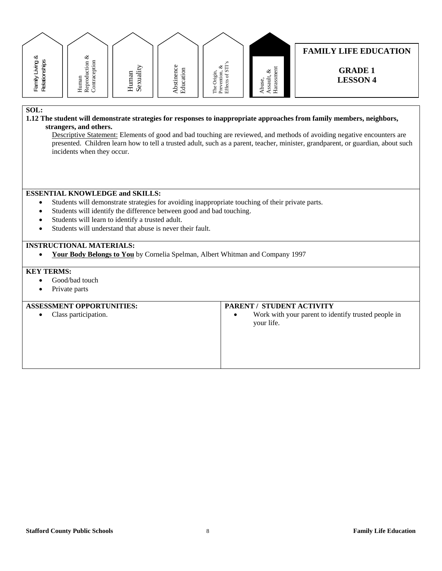| ∞                                  | ళ                                                   |                      |                                                       |                                                             |                                                                            | <b>FAMILY LIFE EDUCATION</b>      |
|------------------------------------|-----------------------------------------------------|----------------------|-------------------------------------------------------|-------------------------------------------------------------|----------------------------------------------------------------------------|-----------------------------------|
| ర్లా<br>≔<br>⊽<br>amily<br>Relatic | Ξ<br>$_{\rm dust}$<br>ğ<br>a<br>Hun<br>Rept<br>Cont | uali<br>Human<br>Sex | Φ<br>g<br>g<br>'a∃<br>stin<br>ن<br>큥<br><u>م</u><br>凹 | S<br>È<br>ళ<br>S<br>)rigin,<br>ention<br>ಕ<br>He ex<br>Effe | $\overline{5}$<br>ళ<br>ssault<br>use<br>್.<br>ਥ<br>$\mathbf{\mathbf{\pi}}$ | <b>GRADE 1</b><br><b>LESSON 4</b> |

#### **1.12 The student will demonstrate strategies for responses to inappropriate approaches from family members, neighbors, strangers, and others.**

Descriptive Statement: Elements of good and bad touching are reviewed, and methods of avoiding negative encounters are presented. Children learn how to tell a trusted adult, such as a parent, teacher, minister, grandparent, or guardian, about such incidents when they occur.

#### **ESSENTIAL KNOWLEDGE and SKILLS:**

- Students will demonstrate strategies for avoiding inappropriate touching of their private parts.
- Students will identify the difference between good and bad touching.
- Students will learn to identify a trusted adult.
- Students will understand that abuse is never their fault.

#### **INSTRUCTIONAL MATERIALS:**

**Your Body Belongs to You** by Cornelia Spelman, Albert Whitman and Company 1997

#### **KEY TERMS:**

- Good/bad touch
- Private parts

#### **ASSESSMENT OPPORTUNITIES:**

Class participation.

#### **PARENT / STUDENT ACTIVITY**

 Work with your parent to identify trusted people in your life.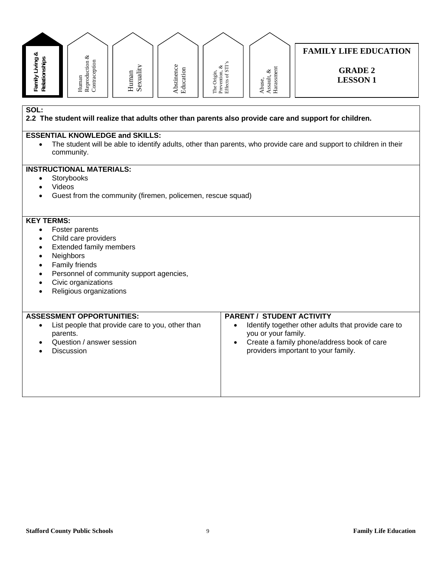| Family Living &<br>Relationships                                                                                | ${\bf Reproduction\,\,} \&\\ {\bf Contraction}$<br>Human    | Sexuality<br>Human | Abstinence<br>Education | The Origin,<br>Prevention, &<br>Effects of STI's | Harassment<br>Assault, &<br>Abuse, | <b>FAMILY LIFE EDUCATION</b><br><b>GRADE 2</b><br><b>LESSON1</b>                                                   |  |
|-----------------------------------------------------------------------------------------------------------------|-------------------------------------------------------------|--------------------|-------------------------|--------------------------------------------------|------------------------------------|--------------------------------------------------------------------------------------------------------------------|--|
| SOL:<br>2.2 The student will realize that adults other than parents also provide care and support for children. |                                                             |                    |                         |                                                  |                                    |                                                                                                                    |  |
|                                                                                                                 | <b>ESSENTIAL KNOWLEDGE and SKILLS:</b>                      |                    |                         |                                                  |                                    |                                                                                                                    |  |
|                                                                                                                 |                                                             |                    |                         |                                                  |                                    | The student will be able to identify adults, other than parents, who provide care and support to children in their |  |
|                                                                                                                 | community.                                                  |                    |                         |                                                  |                                    |                                                                                                                    |  |
|                                                                                                                 | <b>INSTRUCTIONAL MATERIALS:</b>                             |                    |                         |                                                  |                                    |                                                                                                                    |  |
| $\bullet$                                                                                                       | Storybooks                                                  |                    |                         |                                                  |                                    |                                                                                                                    |  |
| Videos                                                                                                          |                                                             |                    |                         |                                                  |                                    |                                                                                                                    |  |
|                                                                                                                 | Guest from the community (firemen, policemen, rescue squad) |                    |                         |                                                  |                                    |                                                                                                                    |  |
| <b>KEY TERMS:</b>                                                                                               |                                                             |                    |                         |                                                  |                                    |                                                                                                                    |  |
|                                                                                                                 | Foster parents                                              |                    |                         |                                                  |                                    |                                                                                                                    |  |
| $\bullet$                                                                                                       | Child care providers                                        |                    |                         |                                                  |                                    |                                                                                                                    |  |
| <b>Extended family members</b><br>$\bullet$                                                                     |                                                             |                    |                         |                                                  |                                    |                                                                                                                    |  |
| Neighbors<br>$\bullet$<br>Family friends<br>٠                                                                   |                                                             |                    |                         |                                                  |                                    |                                                                                                                    |  |
| Personnel of community support agencies,<br>$\bullet$                                                           |                                                             |                    |                         |                                                  |                                    |                                                                                                                    |  |
|                                                                                                                 | Civic organizations                                         |                    |                         |                                                  |                                    |                                                                                                                    |  |
|                                                                                                                 | Religious organizations                                     |                    |                         |                                                  |                                    |                                                                                                                    |  |
|                                                                                                                 |                                                             |                    |                         |                                                  |                                    |                                                                                                                    |  |

|  | List people that provide care to you, other than<br>parents.<br>Question / answer session<br>$\bullet$<br><b>Discussion</b> | Identify together other adults that provide care to<br>you or your family.<br>Create a family phone/address book of care<br>providers important to your family. |
|--|-----------------------------------------------------------------------------------------------------------------------------|-----------------------------------------------------------------------------------------------------------------------------------------------------------------|
|--|-----------------------------------------------------------------------------------------------------------------------------|-----------------------------------------------------------------------------------------------------------------------------------------------------------------|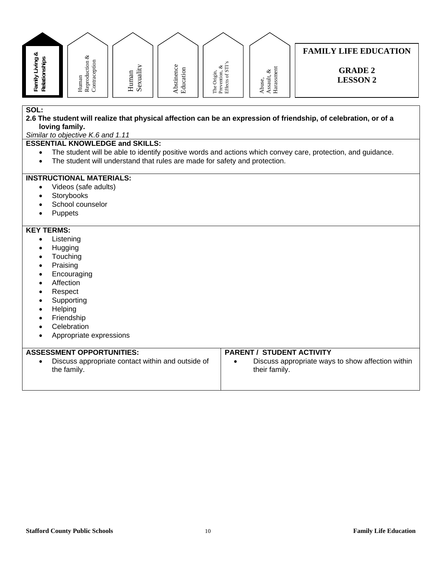#### **FAMILY LIFE EDUCATION**  Family Living &<br>Relationships Reproduction  $\&$  Contraception **Family Living &**  Reproduction & **Relationships Contraception** The Origin,<br>Prevention, &<br>Effects of STI's Effects of STI's Abstinence<br>Education Abstinence Abuse,<br>Assault, &<br>Harassment Prevention, & Human<br>Sexuality Education **GRADE 2**  HarassmentAssault, & The Origin, Human **LESSON 2**

**SOL:** 

#### **2.6 The student will realize that physical affection can be an expression of friendship, of celebration, or of a loving family.**

*Similar to objective K.6 and 1.11* 

#### **ESSENTIAL KNOWLEDGE and SKILLS:**

- The student will be able to identify positive words and actions which convey care, protection, and guidance.
- The student will understand that rules are made for safety and protection.

#### **INSTRUCTIONAL MATERIALS:**

- Videos (safe adults)
- Storybooks
- School counselor
- Puppets

- Listening
- **Hugging**
- **Touching**
- Praising
- Encouraging
- Affection
- Respect
- Supporting
- Helping
- Friendship
- Celebration
- Appropriate expressions

| <b>ASSESSMENT OPPORTUNITIES:</b>                  | <b>PARENT / STUDENT ACTIVITY</b>                  |
|---------------------------------------------------|---------------------------------------------------|
| Discuss appropriate contact within and outside of | Discuss appropriate ways to show affection within |
| the family.                                       | their family.                                     |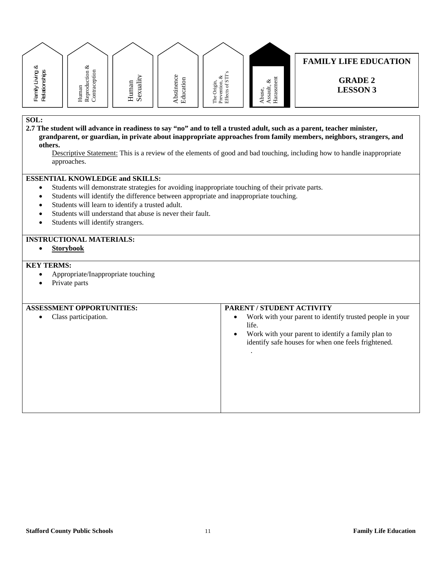

**2.7 The student will advance in readiness to say "no" and to tell a trusted adult, such as a parent, teacher minister, grandparent, or guardian, in private about inappropriate approaches from family members, neighbors, strangers, and others.**

Descriptive Statement: This is a review of the elements of good and bad touching, including how to handle inappropriate approaches.

#### **ESSENTIAL KNOWLEDGE and SKILLS:**

- Students will demonstrate strategies for avoiding inappropriate touching of their private parts.
- Students will identify the difference between appropriate and inappropriate touching.
- Students will learn to identify a trusted adult.
- Students will understand that abuse is never their fault.
- Students will identify strangers.

#### **INSTRUCTIONAL MATERIALS:**

**Storybook** 

- Appropriate/Inappropriate touching
- Private parts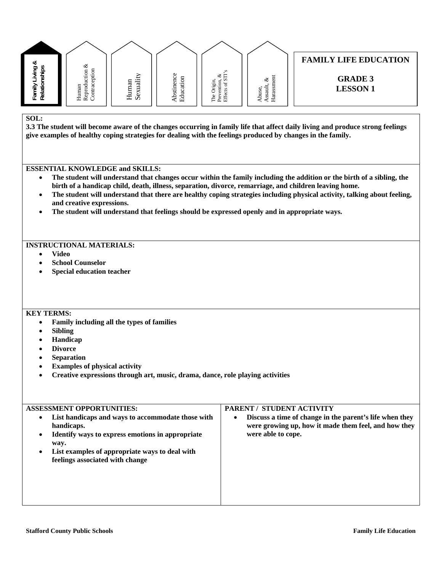| త                                    | ళ                          |                            |                                                                |                                                                              |                                                  | <b>FAMILY LIFE EDUCATION</b>      |
|--------------------------------------|----------------------------|----------------------------|----------------------------------------------------------------|------------------------------------------------------------------------------|--------------------------------------------------|-----------------------------------|
| g<br>రా<br>ishi<br>Fanns<br>Relation | Human<br>Reprod<br>Contrac | .<br>an<br>ನ<br>Hum<br>Sex | c<br>enci<br>됴<br>◡<br>਼ੜ<br>٣<br>.<br>Sti<br>Ü<br>킁<br>ء<br>凹 | S<br>Ë<br>ళ<br>v.<br>ention<br>$\ddot{}$<br>٩Ω.<br>i<br>∽<br>모<br>도 포<br>도 또 | ᄃ<br>చ⊀<br>冒<br>g<br>ದ<br>ದ<br>SS<br>ਥ<br>ء<br>보 | <b>GRADE 3</b><br><b>LESSON 1</b> |

**3.3 The student will become aware of the changes occurring in family life that affect daily living and produce strong feelings give examples of healthy coping strategies for dealing with the feelings produced by changes in the family.** 

#### **ESSENTIAL KNOWLEDGE and SKILLS:**

- **The student will understand that changes occur within the family including the addition or the birth of a sibling, the birth of a handicap child, death, illness, separation, divorce, remarriage, and children leaving home.**
- **The student will understand that there are healthy coping strategies including physical activity, talking about feeling, and creative expressions.**
- **The student will understand that feelings should be expressed openly and in appropriate ways.**

#### **INSTRUCTIONAL MATERIALS:**

- **Video**
- **School Counselor**
- **Special education teacher**

#### **KEY TERMS:**

- **Family including all the types of families**
- **Sibling**
- **Handicap**
- **Divorce**
- **Separation**
- **Examples of physical activity**
- **Creative expressions through art, music, drama, dance, role playing activities**

## **ASSESSMENT OPPORTUNITIES: List handicaps and ways to accommodate those with handicaps. Identify ways to express emotions in appropriate way. List examples of appropriate ways to deal with feelings associated with change PARENT / STUDENT ACTIVITY Discuss a time of change in the parent's life when they were growing up, how it made them feel, and how they were able to cope.**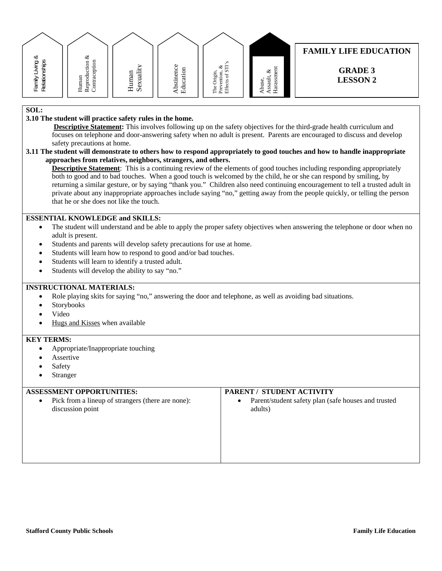|                                       | ళ                                                  |                  |                             |                                                                        |                                            | <b>FAMILY LIFE EDUCATION</b>      |
|---------------------------------------|----------------------------------------------------|------------------|-----------------------------|------------------------------------------------------------------------|--------------------------------------------|-----------------------------------|
| ∞<br>Family Living &<br>Relationships | ē<br>⋴<br>Č<br>ępti<br>Human<br>Reprodu<br>Contrac | Sexuali<br>Human | Abstinence<br>ducation<br>凹 | s.<br>Ħ<br>ళ<br>: N<br>Drigin,<br>ention,<br>್<br>Phe<br>Phift<br>Effe | ent<br>ళ<br>ssm<br>ssault,<br>buse.<br>ara | <b>GRADE 3</b><br><b>LESSON 2</b> |
|                                       |                                                    |                  |                             |                                                                        |                                            |                                   |

#### **3.10 The student will practice safety rules in the home.**

 **Descriptive Statement:** This involves following up on the safety objectives for the third-grade health curriculum and focuses on telephone and door-answering safety when no adult is present. Parents are encouraged to discuss and develop safety precautions at home.

#### **3.11 The student will demonstrate to others how to respond appropriately to good touches and how to handle inappropriate approaches from relatives, neighbors, strangers, and others.**

**Descriptive Statement**: This is a continuing review of the elements of good touches including responding appropriately both to good and to bad touches. When a good touch is welcomed by the child, he or she can respond by smiling, by returning a similar gesture, or by saying "thank you." Children also need continuing encouragement to tell a trusted adult in private about any inappropriate approaches include saying "no," getting away from the people quickly, or telling the person that he or she does not like the touch.

#### **ESSENTIAL KNOWLEDGE and SKILLS:**

- The student will understand and be able to apply the proper safety objectives when answering the telephone or door when no adult is present.
- Students and parents will develop safety precautions for use at home.
- Students will learn how to respond to good and/or bad touches.
- Students will learn to identify a trusted adult.
- Students will develop the ability to say "no."

#### **INSTRUCTIONAL MATERIALS:**

- Role playing skits for saying "no," answering the door and telephone, as well as avoiding bad situations.
- Storybooks
- Video
- Hugs and Kisses when available

#### **KEY TERMS:**

- Appropriate/Inappropriate touching
- Assertive
- Safety
- Stranger

## **ASSESSMENT OPPORTUNITIES:**  Pick from a lineup of strangers (there are none): discussion point **PARENT / STUDENT ACTIVITY**  Parent/student safety plan (safe houses and trusted adults)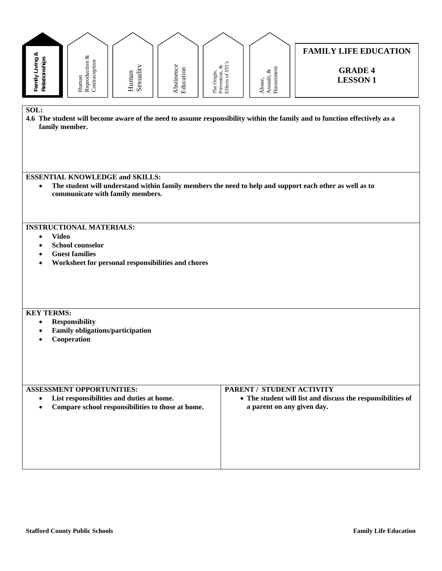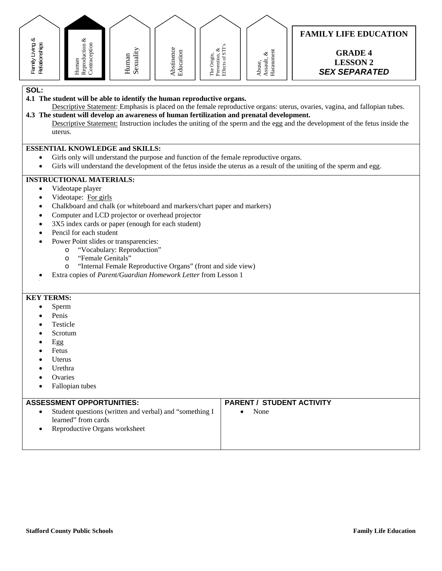

- **4.1 The student will be able to identify the human reproductive organs.**
- Descriptive Statement: Emphasis is placed on the female reproductive organs: uterus, ovaries, vagina, and fallopian tubes. **4.3 The student will develop an awareness of human fertilization and prenatal development.** 
	- Descriptive Statement: Instruction includes the uniting of the sperm and the egg and the development of the fetus inside the uterus.

#### **ESSENTIAL KNOWLEDGE and SKILLS:**

- Girls only will understand the purpose and function of the female reproductive organs.
- Girls will understand the development of the fetus inside the uterus as a result of the uniting of the sperm and egg.

#### **INSTRUCTIONAL MATERIALS:**

- Videotape player
- Videotape: For girls
- Chalkboard and chalk (or whiteboard and markers/chart paper and markers)
- Computer and LCD projector or overhead projector
- 3X5 index cards or paper (enough for each student)
- Pencil for each student
- Power Point slides or transparencies:
	- o "Vocabulary: Reproduction"
		- o "Female Genitals"
	- o "Internal Female Reproductive Organs" (front and side view)
- Extra copies of *Parent/Guardian Homework Letter* from Lesson 1

#### **KEY TERMS:**

- Sperm
- Penis
- Testicle
- Scrotum
- Egg
- Fetus
- Uterus
- Urethra
- Ovaries
- Fallopian tubes

#### **ASSESSMENT OPPORTUNITIES:**

- Student questions (written and verbal) and "something I learned" from cards
- Reproductive Organs worksheet

#### **PARENT / STUDENT ACTIVITY**

• None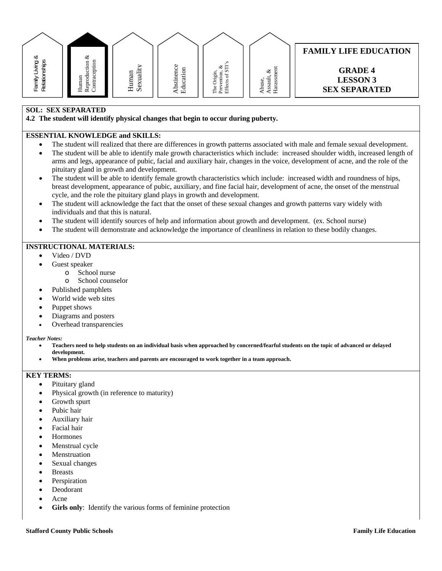| ∞                                                        | ళ                                                       |               |                          |                         |                                 | <b>FAMILY LIFE EDUCATION</b>      |
|----------------------------------------------------------|---------------------------------------------------------|---------------|--------------------------|-------------------------|---------------------------------|-----------------------------------|
| ర్లా<br>$\ddot{\circ}$<br>$=$<br>÷<br>$\mathcal{L}$<br>⋍ | ā<br>$\overline{5}$<br>. —<br>epti<br>۰Ξ<br>Ō<br>ᇦ<br>ē | ä<br>an       | $\circ$<br>bstinenc<br>S | E<br>ಳ<br>ion<br>ቴ<br>÷ | $5\overline{6}$<br>ళ            | <b>GRADE 4</b><br><b>LESSON 3</b> |
| Family<br>Relatio                                        | Human<br>$2$ ont<br>Rep                                 | Huma<br>Sexua | ducati<br>Γτ٦            | ā<br>Prev<br>Effe<br>亡  | वि<br>buse<br>ದ<br>SS<br>ਰ<br>보 | <b>SEX SEPARATED</b>              |

#### **SOL: SEX SEPARATED**

**4.2 The student will identify physical changes that begin to occur during puberty.** 

#### **ESSENTIAL KNOWLEDGE and SKILLS:**

- The student will realized that there are differences in growth patterns associated with male and female sexual development.
- The student will be able to identify male growth characteristics which include: increased shoulder width, increased length of arms and legs, appearance of pubic, facial and auxiliary hair, changes in the voice, development of acne, and the role of the pituitary gland in growth and development.
- The student will be able to identify female growth characteristics which include: increased width and roundness of hips, breast development, appearance of pubic, auxiliary, and fine facial hair, development of acne, the onset of the menstrual cycle, and the role the pituitary gland plays in growth and development.
- The student will acknowledge the fact that the onset of these sexual changes and growth patterns vary widely with individuals and that this is natural.
- The student will identify sources of help and information about growth and development. (ex. School nurse)
- The student will demonstrate and acknowledge the importance of cleanliness in relation to these bodily changes.

#### **INSTRUCTIONAL MATERIALS:**

- Video / DVD
- Guest speaker
	- o School nurse
		- o School counselor
- Published pamphlets
- World wide web sites
- Puppet shows
- Diagrams and posters
- Overhead transparencies

#### *Teacher Notes:*

- **Teachers need to help students on an individual basis when approached by concerned/fearful students on the topic of advanced or delayed development.**
- **When problems arise, teachers and parents are encouraged to work together in a team approach.**

- Pituitary gland
- Physical growth (in reference to maturity)
- Growth spurt
- Pubic hair
- Auxiliary hair
- Facial hair
- Hormones
- Menstrual cycle
- Menstruation
- Sexual changes
- Breasts
- Perspiration
- Deodorant
- Acne
- **Girls only**: Identify the various forms of feminine protection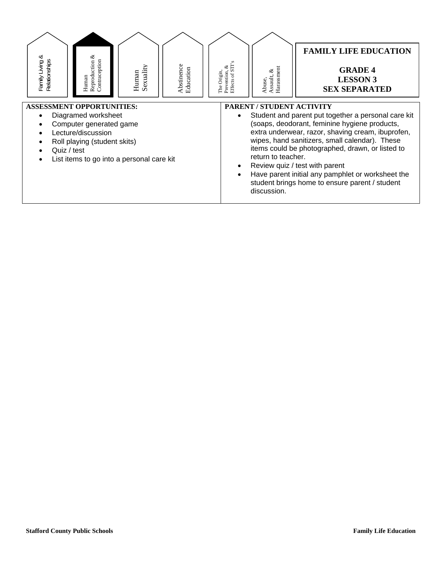| Reproduction &<br>చ<br>Contraception<br>Family Living &<br>Relationships<br>Human                                                                                                                    | Sexuality<br>Human | Abstinence<br>Education | Effects of STI<br>ళ<br>Prevention,<br>The Origin, | Harassment<br>ళ<br>Assault,<br>Abuse,                                 | <b>FAMILY LIFE EDUCATION</b><br><b>GRADE 4</b><br><b>LESSON 3</b><br><b>SEX SEPARATED</b>                                                                                                                                                                                                                                                                                                                |
|------------------------------------------------------------------------------------------------------------------------------------------------------------------------------------------------------|--------------------|-------------------------|---------------------------------------------------|-----------------------------------------------------------------------|----------------------------------------------------------------------------------------------------------------------------------------------------------------------------------------------------------------------------------------------------------------------------------------------------------------------------------------------------------------------------------------------------------|
| <b>ASSESSMENT OPPORTUNITIES:</b><br>Diagramed worksheet<br>Computer generated game<br>Lecture/discussion<br>Roll playing (student skits)<br>Quiz / test<br>List items to go into a personal care kit |                    |                         |                                                   | <b>PARENT / STUDENT ACTIVITY</b><br>return to teacher.<br>discussion. | Student and parent put together a personal care kit<br>(soaps, deodorant, feminine hygiene products,<br>extra underwear, razor, shaving cream, ibuprofen,<br>wipes, hand sanitizers, small calendar). These<br>items could be photographed, drawn, or listed to<br>Review quiz / test with parent<br>Have parent initial any pamphlet or worksheet the<br>student brings home to ensure parent / student |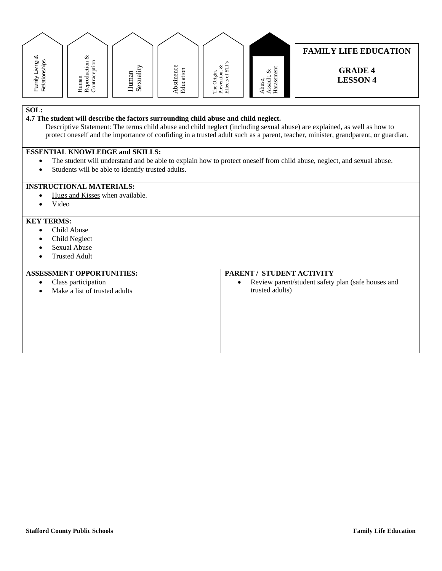

#### **FAMILY LIFE EDUCATION**

**GRADE 4 LESSON 4** 

#### **SOL:**

#### **4.7 The student will describe the factors surrounding child abuse and child neglect.**

Descriptive Statement: The terms child abuse and child neglect (including sexual abuse) are explained, as well as how to protect oneself and the importance of confiding in a trusted adult such as a parent, teacher, minister, grandparent, or guardian.

#### **ESSENTIAL KNOWLEDGE and SKILLS:**

- The student will understand and be able to explain how to protect oneself from child abuse, neglect, and sexual abuse.
- Students will be able to identify trusted adults.

#### **INSTRUCTIONAL MATERIALS:**

- Hugs and Kisses when available.
- Video

#### **KEY TERMS:**

- Child Abuse
- Child Neglect
- Sexual Abuse
- Trusted Adult

#### **ASSESSMENT OPPORTUNITIES:**

| <b>ASSESSMENT OPPORTUNITIES:</b>           | PARENT / STUDENT ACTIVITY                                       |
|--------------------------------------------|-----------------------------------------------------------------|
| Class participation<br>$\bullet$           | Review parent/student safety plan (safe houses and<br>$\bullet$ |
| Make a list of trusted adults<br>$\bullet$ | trusted adults)                                                 |
|                                            |                                                                 |
|                                            |                                                                 |
|                                            |                                                                 |
|                                            |                                                                 |
|                                            |                                                                 |
|                                            |                                                                 |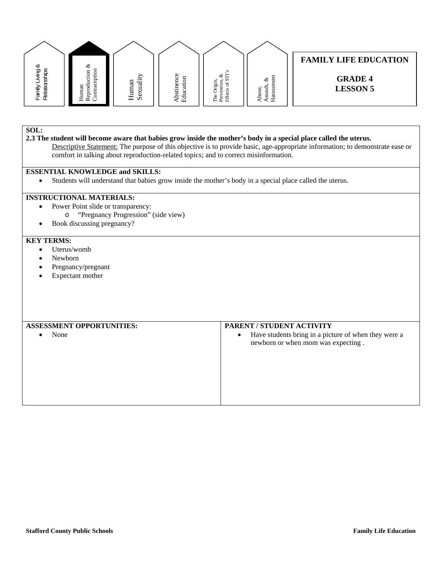|                                                       |                                                |                       |                                                                                             |                           |                                                   | <b>FAMILY LIFE EDUCATION</b>      |
|-------------------------------------------------------|------------------------------------------------|-----------------------|---------------------------------------------------------------------------------------------|---------------------------|---------------------------------------------------|-----------------------------------|
| ∞<br>ഊ<br>iqitac<br>÷<br>.≥<br>≻<br>Family<br>Relatic | ళ<br>ទ<br>'ਚੌ<br>ݠ<br>∍<br>ęц<br>旨<br>⊶<br>≖ ∝ | an<br>ನ<br>Hum<br>Sex | ω<br>ပ<br>⋴<br>⊸<br>∽<br>⊢<br>∽<br>Ò.<br>$\tilde{\phantom{a}}$<br><br>◡<br>ಀ<br>Ē<br>ء<br>ш | $\sim$<br>∛ ⊏<br>Ê<br>ட்ட | Ĕ<br>ళ<br>ದ<br>⊐<br>$\ddotsc$<br>E<br>م<br>w<br>≺ | <b>GRADE 4</b><br><b>LESSON 5</b> |

**2.3 The student will become aware that babies grow inside the mother's body in a special place called the uterus.**  Descriptive Statement: The purpose of this objective is to provide basic, age-appropriate information; to demonstrate ease or

comfort in talking about reproduction-related topics; and to correct misinformation.

#### **ESSENTIAL KNOWLEDGE and SKILLS:**

Students will understand that babies grow inside the mother's body in a special place called the uterus.

#### **INSTRUCTIONAL MATERIALS:**

- Power Point slide or transparency: o "Pregnancy Progression" (side view)
- Book discussing pregnancy?

- Uterus/womb
- Newborn
- Pregnancy/pregnant
- Expectant mother

| <b>ASSESSMENT OPPORTUNITIES:</b> | PARENT / STUDENT ACTIVITY                                                                               |
|----------------------------------|---------------------------------------------------------------------------------------------------------|
| None                             | Have students bring in a picture of when they were a<br>$\bullet$<br>newborn or when mom was expecting. |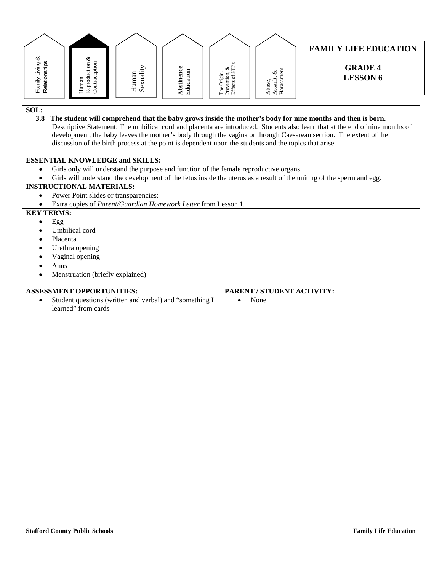| Family Living &<br>Relationships | Reproduction &<br>Contraception                                |                                                         |                                                                                                        |                                                 |                                    | <b>FAMILY LIFE EDUCATION</b><br><b>GRADE 4</b><br><b>LESSON 6</b>                                                                                                                                                                                                                                                                                               |  |
|----------------------------------|----------------------------------------------------------------|---------------------------------------------------------|--------------------------------------------------------------------------------------------------------|-------------------------------------------------|------------------------------------|-----------------------------------------------------------------------------------------------------------------------------------------------------------------------------------------------------------------------------------------------------------------------------------------------------------------------------------------------------------------|--|
|                                  | Human                                                          | Sexuality<br>Human                                      | Abstinence<br>Education                                                                                | Prevention, &<br>Effects of STI'<br>The Origin, | Harassment<br>Assault, &<br>Abuse, |                                                                                                                                                                                                                                                                                                                                                                 |  |
| SOL:<br>3.8                      |                                                                |                                                         | discussion of the birth process at the point is dependent upon the students and the topics that arise. |                                                 |                                    | The student will comprehend that the baby grows inside the mother's body for nine months and then is born.<br>Descriptive Statement: The umbilical cord and placenta are introduced. Students also learn that at the end of nine months of<br>development, the baby leaves the mother's body through the vagina or through Caesarean section. The extent of the |  |
|                                  | <b>ESSENTIAL KNOWLEDGE and SKILLS:</b>                         |                                                         |                                                                                                        |                                                 |                                    |                                                                                                                                                                                                                                                                                                                                                                 |  |
|                                  |                                                                |                                                         | Girls only will understand the purpose and function of the female reproductive organs.                 |                                                 |                                    |                                                                                                                                                                                                                                                                                                                                                                 |  |
|                                  |                                                                |                                                         |                                                                                                        |                                                 |                                    | Girls will understand the development of the fetus inside the uterus as a result of the uniting of the sperm and egg.                                                                                                                                                                                                                                           |  |
|                                  | <b>INSTRUCTIONAL MATERIALS:</b>                                |                                                         |                                                                                                        |                                                 |                                    |                                                                                                                                                                                                                                                                                                                                                                 |  |
| $\bullet$                        | Power Point slides or transparencies:                          |                                                         |                                                                                                        |                                                 |                                    |                                                                                                                                                                                                                                                                                                                                                                 |  |
|                                  | Extra copies of Parent/Guardian Homework Letter from Lesson 1. |                                                         |                                                                                                        |                                                 |                                    |                                                                                                                                                                                                                                                                                                                                                                 |  |
| <b>KEY TERMS:</b>                |                                                                |                                                         |                                                                                                        |                                                 |                                    |                                                                                                                                                                                                                                                                                                                                                                 |  |
| Egg<br>$\bullet$                 |                                                                |                                                         |                                                                                                        |                                                 |                                    |                                                                                                                                                                                                                                                                                                                                                                 |  |
|                                  | Umbilical cord                                                 |                                                         |                                                                                                        |                                                 |                                    |                                                                                                                                                                                                                                                                                                                                                                 |  |
|                                  | Placenta<br>$\bullet$                                          |                                                         |                                                                                                        |                                                 |                                    |                                                                                                                                                                                                                                                                                                                                                                 |  |
|                                  | Urethra opening                                                |                                                         |                                                                                                        |                                                 |                                    |                                                                                                                                                                                                                                                                                                                                                                 |  |
|                                  | Vaginal opening<br>Anus                                        |                                                         |                                                                                                        |                                                 |                                    |                                                                                                                                                                                                                                                                                                                                                                 |  |
| Menstruation (briefly explained) |                                                                |                                                         |                                                                                                        |                                                 |                                    |                                                                                                                                                                                                                                                                                                                                                                 |  |
|                                  |                                                                |                                                         |                                                                                                        |                                                 |                                    |                                                                                                                                                                                                                                                                                                                                                                 |  |
|                                  | <b>ASSESSMENT OPPORTUNITIES:</b>                               |                                                         |                                                                                                        |                                                 | PARENT / STUDENT ACTIVITY:         |                                                                                                                                                                                                                                                                                                                                                                 |  |
| $\bullet$                        | learned" from cards                                            | Student questions (written and verbal) and "something I |                                                                                                        | $\bullet$                                       | None                               |                                                                                                                                                                                                                                                                                                                                                                 |  |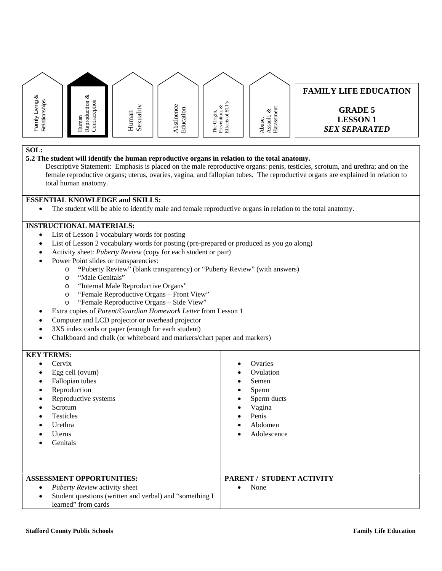

#### **5.2 The student will identify the human reproductive organs in relation to the total anatomy.**

Descriptive Statement: Emphasis is placed on the male reproductive organs: penis, testicles, scrotum, and urethra; and on the female reproductive organs; uterus, ovaries, vagina, and fallopian tubes. The reproductive organs are explained in relation to total human anatomy.

#### **ESSENTIAL KNOWLEDGE and SKILLS:**

The student will be able to identify male and female reproductive organs in relation to the total anatomy.

#### **INSTRUCTIONAL MATERIALS:**

- List of Lesson 1 vocabulary words for posting
- List of Lesson 2 vocabulary words for posting (pre-prepared or produced as you go along)
- Activity sheet: *Puberty Review* (copy for each student or pair)
- Power Point slides or transparencies:
	- o **"**Puberty Review" (blank transparency) or "Puberty Review" (with answers)
	- o "Male Genitals"
	- o "Internal Male Reproductive Organs"
	- o "Female Reproductive Organs Front View"
	- o "Female Reproductive Organs Side View"
- Extra copies of *Parent/Guardian Homework Letter* from Lesson 1
- Computer and LCD projector or overhead projector
- 3X5 index cards or paper (enough for each student)
- Chalkboard and chalk (or whiteboard and markers/chart paper and markers)

| <b>KEY TERMS:</b>                                                                                                                                                     |                                                                                                                                                                       |
|-----------------------------------------------------------------------------------------------------------------------------------------------------------------------|-----------------------------------------------------------------------------------------------------------------------------------------------------------------------|
| Cervix<br>٠<br>Egg cell (ovum)<br>Fallopian tubes<br>Reproduction<br>Reproductive systems<br>Scrotum<br><b>Testicles</b><br>Urethra<br><b>U</b> terus<br>Genitals     | Ovaries<br>$\bullet$<br>Ovulation<br>$\bullet$<br>Semen<br>$\bullet$<br>Sperm<br>٠<br>Sperm ducts<br>٠<br>Vagina<br>٠<br>Penis<br>$\bullet$<br>Abdomen<br>Adolescence |
| <b>ASSESSMENT OPPORTUNITIES:</b><br>Puberty Review activity sheet<br>$\bullet$<br>Student questions (written and verbal) and "something I<br>٠<br>learned" from cards | PARENT / STUDENT ACTIVITY<br>None<br>$\bullet$                                                                                                                        |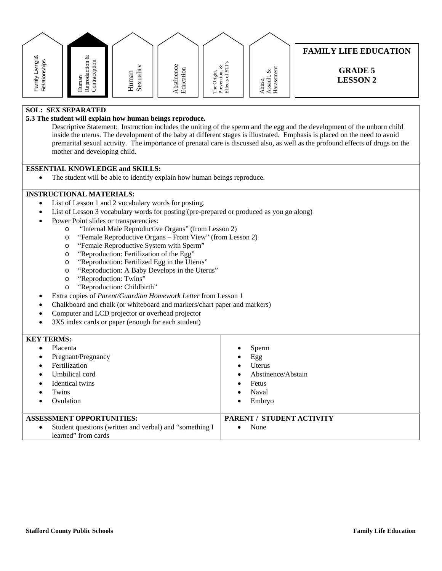| ∞                                         | ళ                                                  |                        |                                                           |                                                                             |                                                           | <b>FAMILY LIFE EDUCATION</b>      |
|-------------------------------------------|----------------------------------------------------|------------------------|-----------------------------------------------------------|-----------------------------------------------------------------------------|-----------------------------------------------------------|-----------------------------------|
| פַ<br>hip<br>Fan <sub>in</sub><br>Relatio | ទ<br>ducti<br>g,<br>ಕ<br>Ō<br>−<br>ēpr<br>로 훈<br>모 | ä<br>Human<br>Ξ<br>Sex | $\circ$<br>enc<br>g<br>π<br>ಕ<br>stin<br>Ξ<br>م<br>ᄒ<br>凹 | S<br>E<br>ళ<br>S<br>ion<br>of S<br>் க<br>.<br>Ξ<br>Ö<br>P.<br>Free<br>Effe | ى<br>لات<br>ਨ<br>Έ<br>use<br>ಡ<br>Hara<br>SS<br>ه<br>' ⊲ਾ | <b>GRADE 5</b><br><b>LESSON 2</b> |

#### **SOL: SEX SEPARATED**

#### **5.3 The student will explain how human beings reproduce.**

Descriptive Statement: Instruction includes the uniting of the sperm and the egg and the development of the unborn child inside the uterus. The development of the baby at different stages is illustrated. Emphasis is placed on the need to avoid premarital sexual activity. The importance of prenatal care is discussed also, as well as the profound effects of drugs on the mother and developing child.

#### **ESSENTIAL KNOWLEDGE and SKILLS:**

• The student will be able to identify explain how human beings reproduce.

#### **INSTRUCTIONAL MATERIALS:**

- List of Lesson 1 and 2 vocabulary words for posting.
- List of Lesson 3 vocabulary words for posting (pre-prepared or produced as you go along)
- Power Point slides or transparencies:
	- o "Internal Male Reproductive Organs" (from Lesson 2)
	- o "Female Reproductive Organs Front View" (from Lesson 2)
	- o "Female Reproductive System with Sperm"
	- o "Reproduction: Fertilization of the Egg"
	- o "Reproduction: Fertilized Egg in the Uterus"
	- o "Reproduction: A Baby Develops in the Uterus"
	- o "Reproduction: Twins"
	- o "Reproduction: Childbirth"
- Extra copies of *Parent/Guardian Homework Letter* from Lesson 1
- Chalkboard and chalk (or whiteboard and markers/chart paper and markers)
- Computer and LCD projector or overhead projector
- 3X5 index cards or paper (enough for each student)

#### **KEY TERMS:**  Placenta Pregnant/Pregnancy Fertilization Umbilical cord Identical twins Twins Ovulation Sperm Egg Uterus Abstinence/Abstain Fetus Naval Embryo **ASSESSMENT OPPORTUNITIES:**  Student questions (written and verbal) and "something I learned" from cards **PARENT / STUDENT ACTIVITY**  • None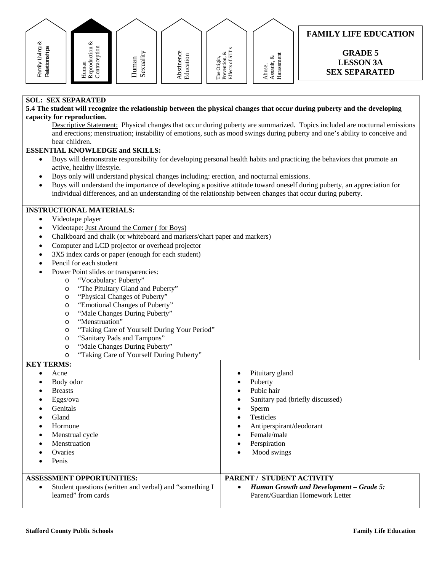| Reproduction &<br>Family Living &<br>Relationships<br>Contraception<br>Abstinence<br>Sexuality<br>Education<br>Human<br>The Origin,<br>Human<br><b>SOL: SEX SEPARATED</b><br>5.4 The student will recognize the relationship between the physical changes that occur during puberty and the developing<br>capacity for reproduction.<br>bear children.<br><b>ESSENTIAL KNOWLEDGE and SKILLS:</b><br>$\bullet$<br>active, healthy lifestyle.                                                                                                                                                                                                                                                                                                                                                                                                                                              | <b>FAMILY LIFE EDUCATION</b><br>Prevention, $\&$ Effects of STI's<br><b>GRADE 5</b><br>Harassment<br>Assault, $\&$<br><b>LESSON 3A</b><br>Abuse,<br><b>SEX SEPARATED</b><br>Descriptive Statement: Physical changes that occur during puberty are summarized. Topics included are nocturnal emissions<br>and erections; menstruation; instability of emotions, such as mood swings during puberty and one's ability to conceive and<br>Boys will demonstrate responsibility for developing personal health habits and practicing the behaviors that promote an |
|------------------------------------------------------------------------------------------------------------------------------------------------------------------------------------------------------------------------------------------------------------------------------------------------------------------------------------------------------------------------------------------------------------------------------------------------------------------------------------------------------------------------------------------------------------------------------------------------------------------------------------------------------------------------------------------------------------------------------------------------------------------------------------------------------------------------------------------------------------------------------------------|----------------------------------------------------------------------------------------------------------------------------------------------------------------------------------------------------------------------------------------------------------------------------------------------------------------------------------------------------------------------------------------------------------------------------------------------------------------------------------------------------------------------------------------------------------------|
| Boys only will understand physical changes including: erection, and nocturnal emissions.<br>$\bullet$<br>$\bullet$<br>individual differences, and an understanding of the relationship between changes that occur during puberty.                                                                                                                                                                                                                                                                                                                                                                                                                                                                                                                                                                                                                                                        | Boys will understand the importance of developing a positive attitude toward oneself during puberty, an appreciation for                                                                                                                                                                                                                                                                                                                                                                                                                                       |
| <b>INSTRUCTIONAL MATERIALS:</b><br>Videotape player<br>$\bullet$<br>Videotape: Just Around the Corner (for Boys)<br>$\bullet$<br>Chalkboard and chalk (or whiteboard and markers/chart paper and markers)<br>$\bullet$<br>Computer and LCD projector or overhead projector<br>$\bullet$<br>3X5 index cards or paper (enough for each student)<br>$\bullet$<br>Pencil for each student<br>$\bullet$<br>Power Point slides or transparencies:<br>$\bullet$<br>"Vocabulary: Puberty"<br>$\circ$<br>"The Pituitary Gland and Puberty"<br>$\circ$<br>"Physical Changes of Puberty"<br>O<br>"Emotional Changes of Puberty"<br>O<br>"Male Changes During Puberty"<br>$\circ$<br>"Menstruation"<br>O<br>"Taking Care of Yourself During Your Period"<br>O<br>"Sanitary Pads and Tampons"<br>O<br>"Male Changes During Puberty"<br>$\circ$<br>"Taking Care of Yourself During Puberty"<br>$\circ$ |                                                                                                                                                                                                                                                                                                                                                                                                                                                                                                                                                                |
| <b>KEY TERMS:</b><br>Acne<br>$\bullet$<br>Body odor<br>$\bullet$<br><b>Breasts</b><br>$\bullet$<br>Eggs/ova<br>٠<br>Genitals<br>Gland<br>Hormone<br>Menstrual cycle<br>$\bullet$<br>Menstruation<br>Ovaries<br>Penis                                                                                                                                                                                                                                                                                                                                                                                                                                                                                                                                                                                                                                                                     | Pituitary gland<br>Puberty<br>$\bullet$<br>Pubic hair<br>Sanitary pad (briefly discussed)<br>Sperm<br><b>Testicles</b><br>Antiperspirant/deodorant<br>Female/male<br>Perspiration<br>Mood swings                                                                                                                                                                                                                                                                                                                                                               |
| <b>ASSESSMENT OPPORTUNITIES:</b><br>Student questions (written and verbal) and "something I<br>$\bullet$                                                                                                                                                                                                                                                                                                                                                                                                                                                                                                                                                                                                                                                                                                                                                                                 | PARENT / STUDENT ACTIVITY<br><b>Human Growth and Development - Grade 5:</b><br>$\bullet$                                                                                                                                                                                                                                                                                                                                                                                                                                                                       |

Parent/Guardian Homework Letter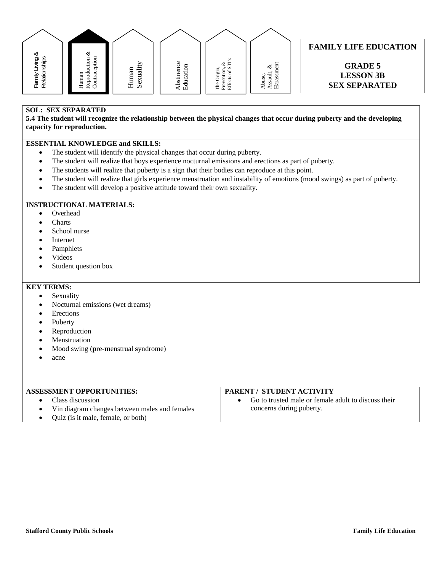

#### **FAMILY LIFE EDUCATION**

**GRADE 5 LESSON 3B SEX SEPARATED** 

### **SOL: SEX SEPARATED**

**5.4 The student will recognize the relationship between the physical changes that occur during puberty and the developing capacity for reproduction.** 

#### **ESSENTIAL KNOWLEDGE and SKILLS:**

- The student will identify the physical changes that occur during puberty.
- The student will realize that boys experience nocturnal emissions and erections as part of puberty.
- The students will realize that puberty is a sign that their bodies can reproduce at this point.
- The student will realize that girls experience menstruation and instability of emotions (mood swings) as part of puberty.
- The student will develop a positive attitude toward their own sexuality.

## **INSTRUCTIONAL MATERIALS:**

- Overhead
- **Charts**
- School nurse
- Internet
- Pamphlets
- Videos
- Student question box

- Sexuality
- Nocturnal emissions (wet dreams)
- Erections
- Puberty
- Reproduction
- Menstruation
- Mood swing (**p**re-**m**enstrual **s**yndrome)
- acne

| <b>ASSESSMENT OPPORTUNITIES:</b>                | PARENT / STUDENT ACTIVITY                           |  |  |  |  |
|-------------------------------------------------|-----------------------------------------------------|--|--|--|--|
| $\bullet$ Class discussion                      | Go to trusted male or female adult to discuss their |  |  |  |  |
| • Vin diagram changes between males and females | concerns during puberty.                            |  |  |  |  |
| • Ouiz (is it male, female, or both)            |                                                     |  |  |  |  |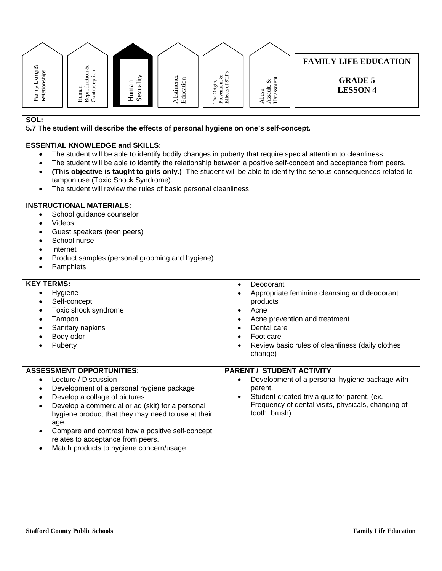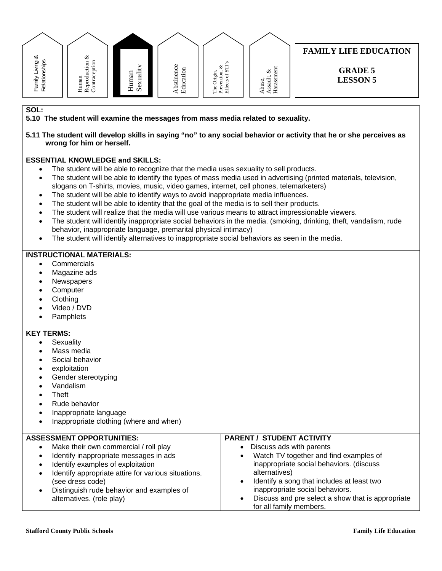#### **FAMILY LIFE EDUCATION**  Family Living & Reproduction  $\&$ Reproduction & చ Family Living &<br>Relationships Relationships Contraception **Contraception** The Origin,<br>Prevention, &<br>Effects of STI's Effects of STI's Abstinence<br>Education Abstinence Prevention, & Sexualit y Education Harassment Harassment**GRADE 5**  Assault, & The Origin, Assault, & Human Human Abuse, **LESSON 5**

#### **SOL:**

**5.10 The student will examine the messages from mass media related to sexuality.** 

**5.11 The student will develop skills in saying "no" to any social behavior or activity that he or she perceives as wrong for him or herself.** 

#### **ESSENTIAL KNOWLEDGE and SKILLS:**

- The student will be able to recognize that the media uses sexuality to sell products.
- The student will be able to identify the types of mass media used in advertising (printed materials, television, slogans on T-shirts, movies, music, video games, internet, cell phones, telemarketers)
- The student will be able to identify ways to avoid inappropriate media influences.
- The student will be able to identity that the goal of the media is to sell their products.
- The student will realize that the media will use various means to attract impressionable viewers.
- The student will identify inappropriate social behaviors in the media. (smoking, drinking, theft, vandalism, rude behavior, inappropriate language, premarital physical intimacy)
- The student will identify alternatives to inappropriate social behaviors as seen in the media.

#### **INSTRUCTIONAL MATERIALS:**

- **Commercials**
- Magazine ads
- **Newspapers**
- **Computer**
- Clothing
- Video / DVD
- **Pamphlets**

#### **KEY TERMS:**

- **Sexuality**
- Mass media
- Social behavior
- exploitation
- Gender stereotyping
- Vandalism
- **Theft**
- Rude behavior
- Inappropriate language
- Inappropriate clothing (where and when)

#### **ASSESSMENT OPPORTUNITIES:**

- Make their own commercial / roll play Identify inappropriate messages in ads Identify examples of exploitation Identify appropriate attire for various situations. (see dress code) Distinguish rude behavior and examples of alternatives. (role play) Discuss ads with parents Watch TV together and find examples of inappropriate social behaviors. (discuss alternatives) Identify a song that includes at least two inappropriate social behaviors. Discuss and pre select a show that is appropriate
	- for all family members.

**PARENT / STUDENT ACTIVITY**